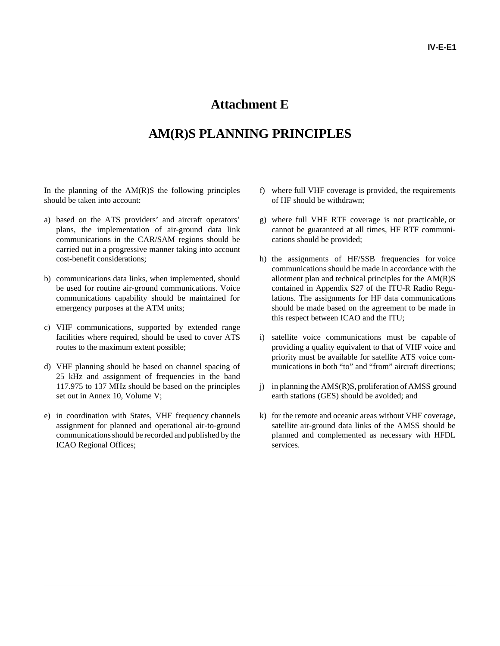## **Attachment E**

## **AM(R)S PLANNING PRINCIPLES**

In the planning of the  $AM(R)S$  the following principles should be taken into account:

- a) based on the ATS providers' and aircraft operators' plans, the implementation of air-ground data link communications in the CAR/SAM regions should be carried out in a progressive manner taking into account cost-benefit considerations;
- b) communications data links, when implemented, should be used for routine air-ground communications. Voice communications capability should be maintained for emergency purposes at the ATM units;
- c) VHF communications, supported by extended range facilities where required, should be used to cover ATS routes to the maximum extent possible;
- d) VHF planning should be based on channel spacing of 25 kHz and assignment of frequencies in the band 117.975 to 137 MHz should be based on the principles set out in Annex 10, Volume V;
- e) in coordination with States, VHF frequency channels assignment for planned and operational air-to-ground communications should be recorded and published by the ICAO Regional Offices;
- f) where full VHF coverage is provided, the requirements of HF should be withdrawn;
- g) where full VHF RTF coverage is not practicable, or cannot be guaranteed at all times, HF RTF communications should be provided;
- h) the assignments of HF/SSB frequencies for voice communications should be made in accordance with the allotment plan and technical principles for the AM(R)S contained in Appendix S27 of the ITU-R Radio Regulations. The assignments for HF data communications should be made based on the agreement to be made in this respect between ICAO and the ITU;
- i) satellite voice communications must be capable of providing a quality equivalent to that of VHF voice and priority must be available for satellite ATS voice communications in both "to" and "from" aircraft directions;
- j) in planning the AMS(R)S, proliferation of AMSS ground earth stations (GES) should be avoided; and
- k) for the remote and oceanic areas without VHF coverage, satellite air-ground data links of the AMSS should be planned and complemented as necessary with HFDL services.